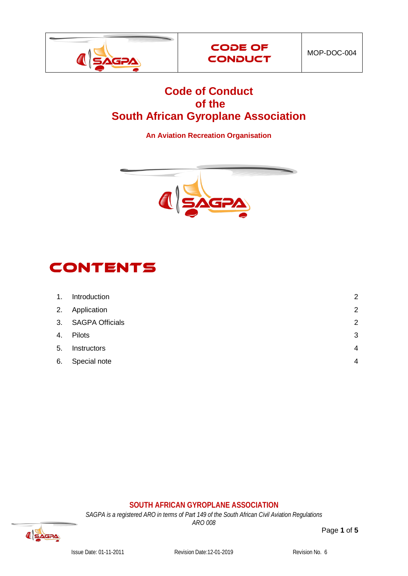



## **Code of Conduct of the South African Gyroplane Association**

**An Aviation Recreation Organisation**



# **CONTENTS**

| 1. | Introduction       | $\overline{2}$ |
|----|--------------------|----------------|
|    | 2. Application     | $\overline{2}$ |
|    | 3. SAGPA Officials | $\overline{2}$ |
| 4. | Pilots             | 3              |
| 5. | Instructors        | 4              |
| 6. | Special note       | 4              |

#### **SOUTH AFRICAN GYROPLANE ASSOCIATION**

*SAGPA is a registered ARO in terms of Part 149 of the South African Civil Aviation Regulations*

*ARO 008*

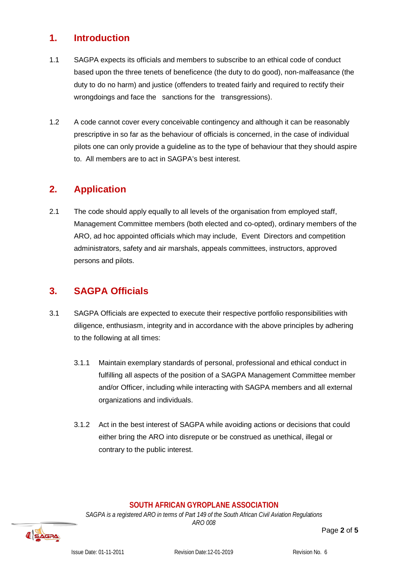## <span id="page-1-0"></span>**1. Introduction**

- 1.1 SAGPA expects its officials and members to subscribe to an ethical code of conduct based upon the three tenets of beneficence (the duty to do good), non-malfeasance (the duty to do no harm) and justice (offenders to treated fairly and required to rectify their wrongdoings and face the sanctions for the transgressions).
- 1.2 A code cannot cover every conceivable contingency and although it can be reasonably prescriptive in so far as the behaviour of officials is concerned, in the case of individual pilots one can only provide a guideline as to the type of behaviour that they should aspire to. All members are to act in SAGPA's best interest.

## <span id="page-1-1"></span>**2. Application**

2.1 The code should apply equally to all levels of the organisation from employed staff, Management Committee members (both elected and co-opted), ordinary members of the ARO, ad hoc appointed officials which may include, Event Directors and competition administrators, safety and air marshals, appeals committees, instructors, approved persons and pilots.

## <span id="page-1-2"></span>**3. SAGPA Officials**

- 3.1 SAGPA Officials are expected to execute their respective portfolio responsibilities with diligence, enthusiasm, integrity and in accordance with the above principles by adhering to the following at all times:
	- 3.1.1 Maintain exemplary standards of personal, professional and ethical conduct in fulfilling all aspects of the position of a SAGPA Management Committee member and/or Officer, including while interacting with SAGPA members and all external organizations and individuals.
	- 3.1.2 Act in the best interest of SAGPA while avoiding actions or decisions that could either bring the ARO into disrepute or be construed as unethical, illegal or contrary to the public interest.

#### **SOUTH AFRICAN GYROPLANE ASSOCIATION**

*SAGPA is a registered ARO in terms of Part 149 of the South African Civil Aviation Regulations ARO 008*

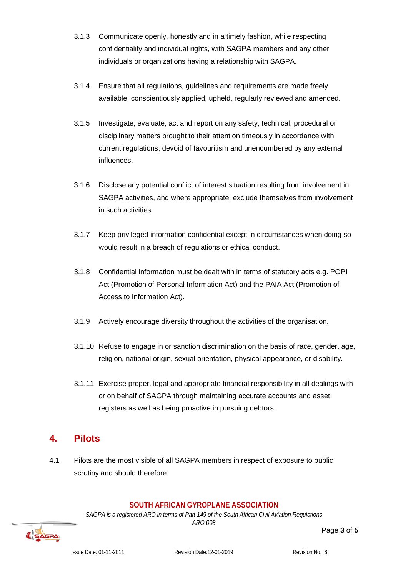- 3.1.3 Communicate openly, honestly and in a timely fashion, while respecting confidentiality and individual rights, with SAGPA members and any other individuals or organizations having a relationship with SAGPA.
- 3.1.4 Ensure that all regulations, guidelines and requirements are made freely available, conscientiously applied, upheld, regularly reviewed and amended.
- 3.1.5 Investigate, evaluate, act and report on any safety, technical, procedural or disciplinary matters brought to their attention timeously in accordance with current regulations, devoid of favouritism and unencumbered by any external influences.
- 3.1.6 Disclose any potential conflict of interest situation resulting from involvement in SAGPA activities, and where appropriate, exclude themselves from involvement in such activities
- 3.1.7 Keep privileged information confidential except in circumstances when doing so would result in a breach of regulations or ethical conduct.
- 3.1.8 Confidential information must be dealt with in terms of statutory acts e.g. POPI Act (Promotion of Personal Information Act) and the PAIA Act (Promotion of Access to Information Act).
- 3.1.9 Actively encourage diversity throughout the activities of the organisation.
- 3.1.10 Refuse to engage in or sanction discrimination on the basis of race, gender, age, religion, national origin, sexual orientation, physical appearance, or disability.
- 3.1.11 Exercise proper, legal and appropriate financial responsibility in all dealings with or on behalf of SAGPA through maintaining accurate accounts and asset registers as well as being proactive in pursuing debtors.

## <span id="page-2-0"></span>**4. Pilots**

4.1 Pilots are the most visible of all SAGPA members in respect of exposure to public scrutiny and should therefore:

#### **SOUTH AFRICAN GYROPLANE ASSOCIATION**

*SAGPA is a registered ARO in terms of Part 149 of the South African Civil Aviation Regulations ARO 008*

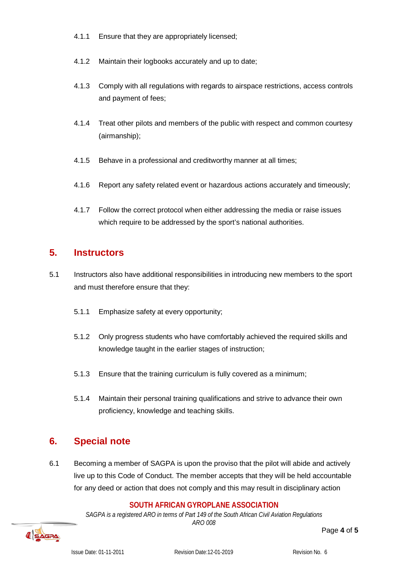- 4.1.1 Ensure that they are appropriately licensed;
- 4.1.2 Maintain their logbooks accurately and up to date;
- 4.1.3 Comply with all regulations with regards to airspace restrictions, access controls and payment of fees;
- 4.1.4 Treat other pilots and members of the public with respect and common courtesy (airmanship);
- 4.1.5 Behave in a professional and creditworthy manner at all times;
- 4.1.6 Report any safety related event or hazardous actions accurately and timeously;
- 4.1.7 Follow the correct protocol when either addressing the media or raise issues which require to be addressed by the sport's national authorities.

#### <span id="page-3-0"></span>**5. Instructors**

- 5.1 Instructors also have additional responsibilities in introducing new members to the sport and must therefore ensure that they:
	- 5.1.1 Emphasize safety at every opportunity;
	- 5.1.2 Only progress students who have comfortably achieved the required skills and knowledge taught in the earlier stages of instruction;
	- 5.1.3 Ensure that the training curriculum is fully covered as a minimum;
	- 5.1.4 Maintain their personal training qualifications and strive to advance their own proficiency, knowledge and teaching skills.

## <span id="page-3-1"></span>**6. Special note**

6.1 Becoming a member of SAGPA is upon the proviso that the pilot will abide and actively live up to this Code of Conduct. The member accepts that they will be held accountable for any deed or action that does not comply and this may result in disciplinary action

#### **SOUTH AFRICAN GYROPLANE ASSOCIATION**

*SAGPA is a registered ARO in terms of Part 149 of the South African Civil Aviation Regulations ARO 008*